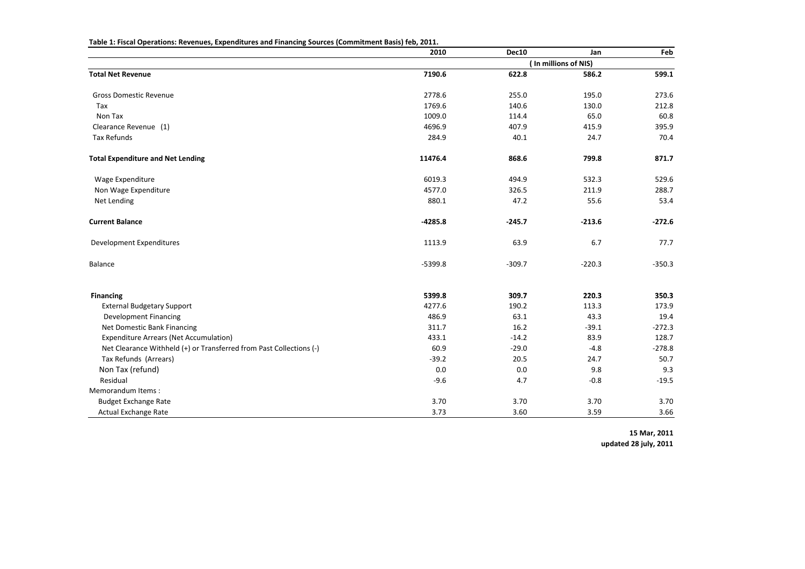|                                                                     | 2010      | Dec10    | Jan                  | Feb      |
|---------------------------------------------------------------------|-----------|----------|----------------------|----------|
|                                                                     |           |          | (In millions of NIS) |          |
| <b>Total Net Revenue</b>                                            | 7190.6    | 622.8    | 586.2                | 599.1    |
| <b>Gross Domestic Revenue</b>                                       | 2778.6    | 255.0    | 195.0                | 273.6    |
| Tax                                                                 | 1769.6    | 140.6    | 130.0                | 212.8    |
| Non Tax                                                             | 1009.0    | 114.4    | 65.0                 | 60.8     |
| Clearance Revenue (1)                                               | 4696.9    | 407.9    | 415.9                | 395.9    |
| Tax Refunds                                                         | 284.9     | 40.1     | 24.7                 | 70.4     |
| <b>Total Expenditure and Net Lending</b>                            | 11476.4   | 868.6    | 799.8                | 871.7    |
| Wage Expenditure                                                    | 6019.3    | 494.9    | 532.3                | 529.6    |
| Non Wage Expenditure                                                | 4577.0    | 326.5    | 211.9                | 288.7    |
| Net Lending                                                         | 880.1     | 47.2     | 55.6                 | 53.4     |
| <b>Current Balance</b>                                              | $-4285.8$ | $-245.7$ | $-213.6$             | $-272.6$ |
| Development Expenditures                                            | 1113.9    | 63.9     | 6.7                  | 77.7     |
| Balance                                                             | $-5399.8$ | $-309.7$ | $-220.3$             | $-350.3$ |
| <b>Financing</b>                                                    | 5399.8    | 309.7    | 220.3                | 350.3    |
| <b>External Budgetary Support</b>                                   | 4277.6    | 190.2    | 113.3                | 173.9    |
| Development Financing                                               | 486.9     | 63.1     | 43.3                 | 19.4     |
| Net Domestic Bank Financing                                         | 311.7     | 16.2     | $-39.1$              | $-272.3$ |
| <b>Expenditure Arrears (Net Accumulation)</b>                       | 433.1     | $-14.2$  | 83.9                 | 128.7    |
| Net Clearance Withheld (+) or Transferred from Past Collections (-) | 60.9      | $-29.0$  | $-4.8$               | $-278.8$ |
| Tax Refunds (Arrears)                                               | $-39.2$   | 20.5     | 24.7                 | 50.7     |
| Non Tax (refund)                                                    | 0.0       | 0.0      | 9.8                  | 9.3      |
| Residual                                                            | $-9.6$    | 4.7      | $-0.8$               | $-19.5$  |
| Memorandum Items:                                                   |           |          |                      |          |
| <b>Budget Exchange Rate</b>                                         | 3.70      | 3.70     | 3.70                 | 3.70     |
| Actual Exchange Rate                                                | 3.73      | 3.60     | 3.59                 | 3.66     |

**Table 1: Fiscal Operations: Revenues, Expenditures and Financing Sources (Commitment Basis) feb, 2011.**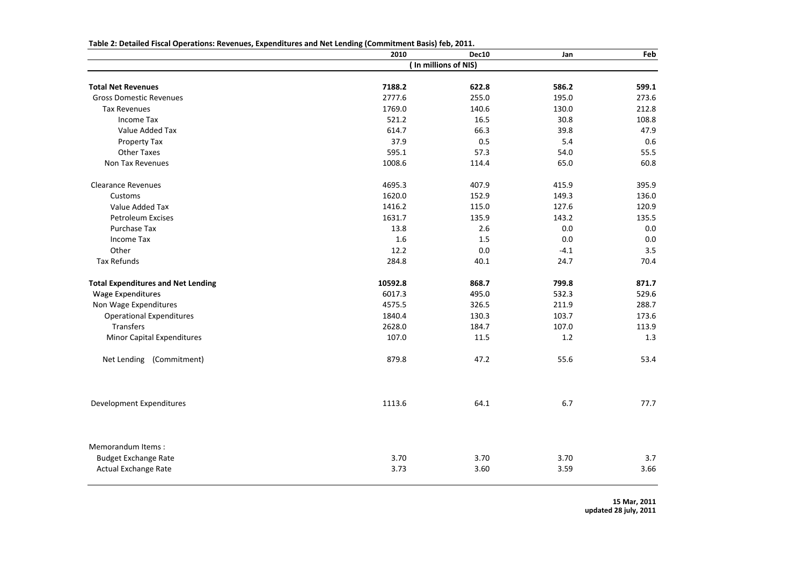|                                           | 2010    | Dec10                | Jan     | Feb     |
|-------------------------------------------|---------|----------------------|---------|---------|
|                                           |         | (In millions of NIS) |         |         |
| <b>Total Net Revenues</b>                 | 7188.2  | 622.8                | 586.2   | 599.1   |
| <b>Gross Domestic Revenues</b>            | 2777.6  | 255.0                | 195.0   | 273.6   |
| <b>Tax Revenues</b>                       | 1769.0  | 140.6                | 130.0   | 212.8   |
| Income Tax                                | 521.2   | 16.5                 | 30.8    | 108.8   |
| Value Added Tax                           | 614.7   | 66.3                 | 39.8    | 47.9    |
| Property Tax                              | 37.9    | 0.5                  | 5.4     | 0.6     |
| Other Taxes                               | 595.1   | 57.3                 | 54.0    | 55.5    |
| Non Tax Revenues                          | 1008.6  | 114.4                | 65.0    | 60.8    |
| <b>Clearance Revenues</b>                 | 4695.3  | 407.9                | 415.9   | 395.9   |
| Customs                                   | 1620.0  | 152.9                | 149.3   | 136.0   |
| Value Added Tax                           | 1416.2  | 115.0                | 127.6   | 120.9   |
| <b>Petroleum Excises</b>                  | 1631.7  | 135.9                | 143.2   | 135.5   |
| Purchase Tax                              | 13.8    | 2.6                  | 0.0     | 0.0     |
| <b>Income Tax</b>                         | 1.6     | $1.5\,$              | $0.0\,$ | $0.0\,$ |
| Other                                     | 12.2    | 0.0                  | $-4.1$  | 3.5     |
| <b>Tax Refunds</b>                        | 284.8   | 40.1                 | 24.7    | 70.4    |
| <b>Total Expenditures and Net Lending</b> | 10592.8 | 868.7                | 799.8   | 871.7   |
| <b>Wage Expenditures</b>                  | 6017.3  | 495.0                | 532.3   | 529.6   |
| Non Wage Expenditures                     | 4575.5  | 326.5                | 211.9   | 288.7   |
| <b>Operational Expenditures</b>           | 1840.4  | 130.3                | 103.7   | 173.6   |
| Transfers                                 | 2628.0  | 184.7                | 107.0   | 113.9   |
| <b>Minor Capital Expenditures</b>         | 107.0   | 11.5                 | 1.2     | 1.3     |
| (Commitment)<br>Net Lending               | 879.8   | 47.2                 | 55.6    | 53.4    |
| Development Expenditures                  | 1113.6  | 64.1                 | 6.7     | 77.7    |
| Memorandum Items:                         |         |                      |         |         |
| <b>Budget Exchange Rate</b>               | 3.70    | 3.70                 | 3.70    | 3.7     |
| Actual Exchange Rate                      | 3.73    | 3.60                 | 3.59    | 3.66    |

**Table**<sup>1</sup> **2: DetailedFiscal Operations: Revenues, Expenditures and Net Lending (Commitment Basis) feb, 2011.**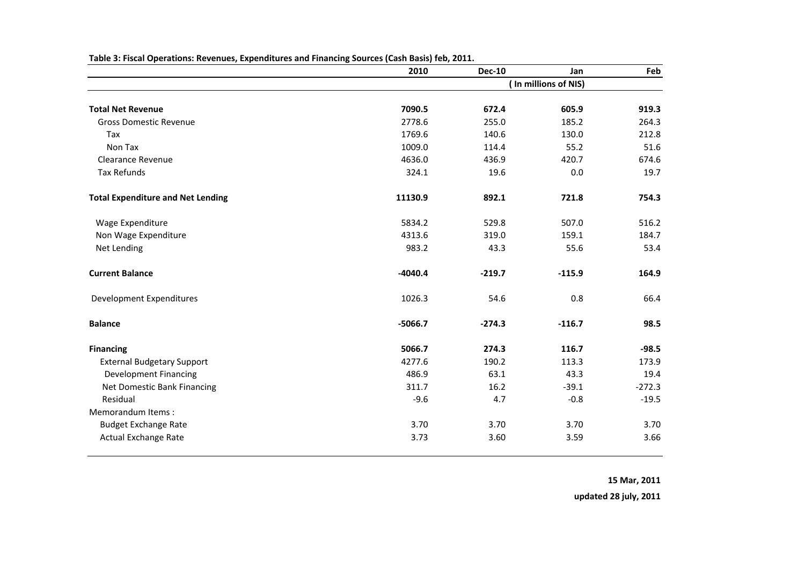|                                          | 2010      | <b>Dec-10</b> | Jan                  | Feb      |
|------------------------------------------|-----------|---------------|----------------------|----------|
|                                          |           |               | (In millions of NIS) |          |
| <b>Total Net Revenue</b>                 | 7090.5    | 672.4         | 605.9                | 919.3    |
| <b>Gross Domestic Revenue</b>            | 2778.6    | 255.0         | 185.2                | 264.3    |
| Tax                                      | 1769.6    | 140.6         | 130.0                | 212.8    |
| Non Tax                                  | 1009.0    | 114.4         | 55.2                 | 51.6     |
| <b>Clearance Revenue</b>                 | 4636.0    | 436.9         | 420.7                | 674.6    |
| <b>Tax Refunds</b>                       | 324.1     | 19.6          | 0.0                  | 19.7     |
| <b>Total Expenditure and Net Lending</b> | 11130.9   | 892.1         | 721.8                | 754.3    |
| Wage Expenditure                         | 5834.2    | 529.8         | 507.0                | 516.2    |
| Non Wage Expenditure                     | 4313.6    | 319.0         | 159.1                | 184.7    |
| Net Lending                              | 983.2     | 43.3          | 55.6                 | 53.4     |
| <b>Current Balance</b>                   | $-4040.4$ | $-219.7$      | $-115.9$             | 164.9    |
| Development Expenditures                 | 1026.3    | 54.6          | 0.8                  | 66.4     |
| <b>Balance</b>                           | $-5066.7$ | $-274.3$      | $-116.7$             | 98.5     |
| <b>Financing</b>                         | 5066.7    | 274.3         | 116.7                | $-98.5$  |
| <b>External Budgetary Support</b>        | 4277.6    | 190.2         | 113.3                | 173.9    |
| <b>Development Financing</b>             | 486.9     | 63.1          | 43.3                 | 19.4     |
| Net Domestic Bank Financing              | 311.7     | 16.2          | $-39.1$              | $-272.3$ |
| Residual                                 | $-9.6$    | 4.7           | $-0.8$               | $-19.5$  |
| Memorandum Items:                        |           |               |                      |          |
| <b>Budget Exchange Rate</b>              | 3.70      | 3.70          | 3.70                 | 3.70     |
| Actual Exchange Rate                     | 3.73      | 3.60          | 3.59                 | 3.66     |

**Table 3: Fiscal Operations: Revenues, Expenditures and Financing Sources (Cash Basis) feb, 2011.**

**15 Mar, 2011**

**updated 28 july, 2011**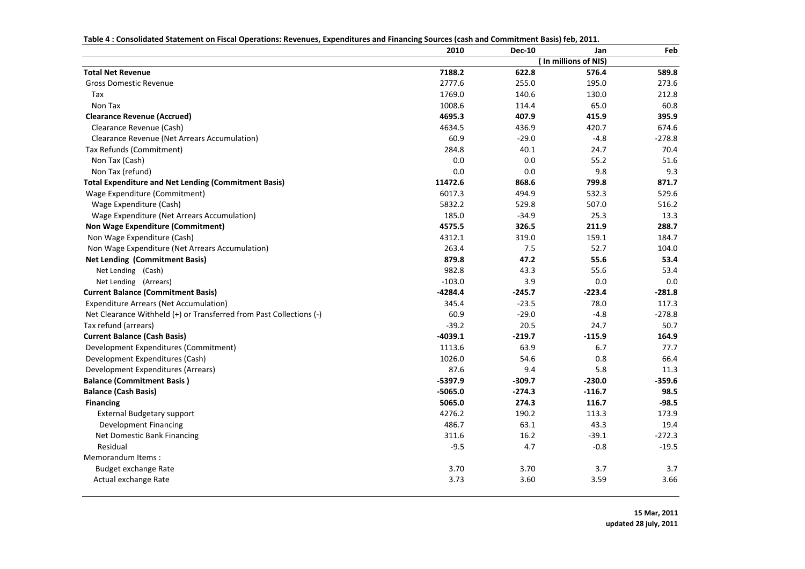| Table 4: Consolidated Statement on Fiscal Operations: Revenues, Expenditures and Financing Sources (cash and Commitment Basis) feb, 2011. |  |  |  |
|-------------------------------------------------------------------------------------------------------------------------------------------|--|--|--|
|                                                                                                                                           |  |  |  |

| (In millions of NIS)<br><b>Total Net Revenue</b><br>7188.2<br>589.8<br>622.8<br>576.4<br>2777.6<br>255.0<br><b>Gross Domestic Revenue</b><br>195.0<br>273.6<br>1769.0<br>140.6<br>130.0<br>212.8<br>Tax<br>1008.6<br>65.0<br>60.8<br>Non Tax<br>114.4<br>4695.3<br>407.9<br>395.9<br><b>Clearance Revenue (Accrued)</b><br>415.9<br>Clearance Revenue (Cash)<br>4634.5<br>436.9<br>420.7<br>674.6<br>60.9<br>$-29.0$<br>$-4.8$<br>$-278.8$<br>Clearance Revenue (Net Arrears Accumulation)<br>284.8<br>40.1<br>24.7<br>Tax Refunds (Commitment)<br>70.4<br>0.0<br>Non Tax (Cash)<br>0.0<br>55.2<br>51.6<br>0.0<br>0.0<br>9.8<br>9.3<br>Non Tax (refund)<br>11472.6<br>868.6<br>799.8<br><b>Total Expenditure and Net Lending (Commitment Basis)</b><br>871.7<br>6017.3<br>494.9<br>532.3<br>529.6<br>Wage Expenditure (Commitment)<br>5832.2<br>529.8<br>507.0<br>Wage Expenditure (Cash)<br>516.2<br>185.0<br>$-34.9$<br>Wage Expenditure (Net Arrears Accumulation)<br>25.3<br>13.3<br>4575.5<br>326.5<br>211.9<br>288.7<br><b>Non Wage Expenditure (Commitment)</b><br>4312.1<br>319.0<br>159.1<br>Non Wage Expenditure (Cash)<br>184.7<br>263.4<br>7.5<br>52.7<br>Non Wage Expenditure (Net Arrears Accumulation)<br>104.0<br>879.8<br>47.2<br>55.6<br><b>Net Lending (Commitment Basis)</b><br>53.4<br>982.8<br>43.3<br>55.6<br>53.4<br>Net Lending (Cash)<br>3.9<br>$-103.0$<br>0.0<br>0.0<br>Net Lending (Arrears)<br>$-4284.4$<br><b>Current Balance (Commitment Basis)</b><br>$-245.7$<br>$-223.4$<br>$-281.8$<br>78.0<br><b>Expenditure Arrears (Net Accumulation)</b><br>345.4<br>$-23.5$<br>117.3<br>$-29.0$<br>Net Clearance Withheld (+) or Transferred from Past Collections (-)<br>60.9<br>$-4.8$<br>$-278.8$<br>20.5<br>24.7<br>50.7<br>Tax refund (arrears)<br>$-39.2$<br>$-4039.1$<br>$-219.7$<br><b>Current Balance (Cash Basis)</b><br>$-115.9$<br>164.9<br>1113.6<br>63.9<br>6.7<br>77.7<br>Development Expenditures (Commitment)<br>1026.0<br>54.6<br>0.8<br>66.4<br>Development Expenditures (Cash)<br>87.6<br>9.4<br>5.8<br>Development Expenditures (Arrears)<br>11.3<br>$-5397.9$<br>$-359.6$<br><b>Balance (Commitment Basis)</b><br>$-309.7$<br>$-230.0$<br><b>Balance (Cash Basis)</b><br>$-5065.0$<br>$-274.3$<br>$-116.7$<br>98.5<br>5065.0<br>274.3<br>116.7<br><b>Financing</b><br>$-98.5$<br>4276.2<br>190.2<br>113.3<br>173.9<br><b>External Budgetary support</b><br>486.7<br>63.1<br>43.3<br>19.4<br><b>Development Financing</b><br>Net Domestic Bank Financing<br>311.6<br>16.2<br>$-39.1$<br>$-272.3$<br>Residual<br>$-9.5$<br>4.7<br>$-0.8$<br>$-19.5$<br>Memorandum Items:<br>3.70<br>3.70<br>3.7<br>3.7<br>Budget exchange Rate<br>3.60<br>3.59<br>3.66<br>Actual exchange Rate<br>3.73 | 2010 | <b>Dec-10</b> | Jan | Feb |
|-------------------------------------------------------------------------------------------------------------------------------------------------------------------------------------------------------------------------------------------------------------------------------------------------------------------------------------------------------------------------------------------------------------------------------------------------------------------------------------------------------------------------------------------------------------------------------------------------------------------------------------------------------------------------------------------------------------------------------------------------------------------------------------------------------------------------------------------------------------------------------------------------------------------------------------------------------------------------------------------------------------------------------------------------------------------------------------------------------------------------------------------------------------------------------------------------------------------------------------------------------------------------------------------------------------------------------------------------------------------------------------------------------------------------------------------------------------------------------------------------------------------------------------------------------------------------------------------------------------------------------------------------------------------------------------------------------------------------------------------------------------------------------------------------------------------------------------------------------------------------------------------------------------------------------------------------------------------------------------------------------------------------------------------------------------------------------------------------------------------------------------------------------------------------------------------------------------------------------------------------------------------------------------------------------------------------------------------------------------------------------------------------------------------------------------------------------------------------------------------------------------------------------------------------------------------------------------------------------------------------------------------------------------------------------------------------------------------------------------|------|---------------|-----|-----|
|                                                                                                                                                                                                                                                                                                                                                                                                                                                                                                                                                                                                                                                                                                                                                                                                                                                                                                                                                                                                                                                                                                                                                                                                                                                                                                                                                                                                                                                                                                                                                                                                                                                                                                                                                                                                                                                                                                                                                                                                                                                                                                                                                                                                                                                                                                                                                                                                                                                                                                                                                                                                                                                                                                                                     |      |               |     |     |
|                                                                                                                                                                                                                                                                                                                                                                                                                                                                                                                                                                                                                                                                                                                                                                                                                                                                                                                                                                                                                                                                                                                                                                                                                                                                                                                                                                                                                                                                                                                                                                                                                                                                                                                                                                                                                                                                                                                                                                                                                                                                                                                                                                                                                                                                                                                                                                                                                                                                                                                                                                                                                                                                                                                                     |      |               |     |     |
|                                                                                                                                                                                                                                                                                                                                                                                                                                                                                                                                                                                                                                                                                                                                                                                                                                                                                                                                                                                                                                                                                                                                                                                                                                                                                                                                                                                                                                                                                                                                                                                                                                                                                                                                                                                                                                                                                                                                                                                                                                                                                                                                                                                                                                                                                                                                                                                                                                                                                                                                                                                                                                                                                                                                     |      |               |     |     |
|                                                                                                                                                                                                                                                                                                                                                                                                                                                                                                                                                                                                                                                                                                                                                                                                                                                                                                                                                                                                                                                                                                                                                                                                                                                                                                                                                                                                                                                                                                                                                                                                                                                                                                                                                                                                                                                                                                                                                                                                                                                                                                                                                                                                                                                                                                                                                                                                                                                                                                                                                                                                                                                                                                                                     |      |               |     |     |
|                                                                                                                                                                                                                                                                                                                                                                                                                                                                                                                                                                                                                                                                                                                                                                                                                                                                                                                                                                                                                                                                                                                                                                                                                                                                                                                                                                                                                                                                                                                                                                                                                                                                                                                                                                                                                                                                                                                                                                                                                                                                                                                                                                                                                                                                                                                                                                                                                                                                                                                                                                                                                                                                                                                                     |      |               |     |     |
|                                                                                                                                                                                                                                                                                                                                                                                                                                                                                                                                                                                                                                                                                                                                                                                                                                                                                                                                                                                                                                                                                                                                                                                                                                                                                                                                                                                                                                                                                                                                                                                                                                                                                                                                                                                                                                                                                                                                                                                                                                                                                                                                                                                                                                                                                                                                                                                                                                                                                                                                                                                                                                                                                                                                     |      |               |     |     |
|                                                                                                                                                                                                                                                                                                                                                                                                                                                                                                                                                                                                                                                                                                                                                                                                                                                                                                                                                                                                                                                                                                                                                                                                                                                                                                                                                                                                                                                                                                                                                                                                                                                                                                                                                                                                                                                                                                                                                                                                                                                                                                                                                                                                                                                                                                                                                                                                                                                                                                                                                                                                                                                                                                                                     |      |               |     |     |
|                                                                                                                                                                                                                                                                                                                                                                                                                                                                                                                                                                                                                                                                                                                                                                                                                                                                                                                                                                                                                                                                                                                                                                                                                                                                                                                                                                                                                                                                                                                                                                                                                                                                                                                                                                                                                                                                                                                                                                                                                                                                                                                                                                                                                                                                                                                                                                                                                                                                                                                                                                                                                                                                                                                                     |      |               |     |     |
|                                                                                                                                                                                                                                                                                                                                                                                                                                                                                                                                                                                                                                                                                                                                                                                                                                                                                                                                                                                                                                                                                                                                                                                                                                                                                                                                                                                                                                                                                                                                                                                                                                                                                                                                                                                                                                                                                                                                                                                                                                                                                                                                                                                                                                                                                                                                                                                                                                                                                                                                                                                                                                                                                                                                     |      |               |     |     |
|                                                                                                                                                                                                                                                                                                                                                                                                                                                                                                                                                                                                                                                                                                                                                                                                                                                                                                                                                                                                                                                                                                                                                                                                                                                                                                                                                                                                                                                                                                                                                                                                                                                                                                                                                                                                                                                                                                                                                                                                                                                                                                                                                                                                                                                                                                                                                                                                                                                                                                                                                                                                                                                                                                                                     |      |               |     |     |
|                                                                                                                                                                                                                                                                                                                                                                                                                                                                                                                                                                                                                                                                                                                                                                                                                                                                                                                                                                                                                                                                                                                                                                                                                                                                                                                                                                                                                                                                                                                                                                                                                                                                                                                                                                                                                                                                                                                                                                                                                                                                                                                                                                                                                                                                                                                                                                                                                                                                                                                                                                                                                                                                                                                                     |      |               |     |     |
|                                                                                                                                                                                                                                                                                                                                                                                                                                                                                                                                                                                                                                                                                                                                                                                                                                                                                                                                                                                                                                                                                                                                                                                                                                                                                                                                                                                                                                                                                                                                                                                                                                                                                                                                                                                                                                                                                                                                                                                                                                                                                                                                                                                                                                                                                                                                                                                                                                                                                                                                                                                                                                                                                                                                     |      |               |     |     |
|                                                                                                                                                                                                                                                                                                                                                                                                                                                                                                                                                                                                                                                                                                                                                                                                                                                                                                                                                                                                                                                                                                                                                                                                                                                                                                                                                                                                                                                                                                                                                                                                                                                                                                                                                                                                                                                                                                                                                                                                                                                                                                                                                                                                                                                                                                                                                                                                                                                                                                                                                                                                                                                                                                                                     |      |               |     |     |
|                                                                                                                                                                                                                                                                                                                                                                                                                                                                                                                                                                                                                                                                                                                                                                                                                                                                                                                                                                                                                                                                                                                                                                                                                                                                                                                                                                                                                                                                                                                                                                                                                                                                                                                                                                                                                                                                                                                                                                                                                                                                                                                                                                                                                                                                                                                                                                                                                                                                                                                                                                                                                                                                                                                                     |      |               |     |     |
|                                                                                                                                                                                                                                                                                                                                                                                                                                                                                                                                                                                                                                                                                                                                                                                                                                                                                                                                                                                                                                                                                                                                                                                                                                                                                                                                                                                                                                                                                                                                                                                                                                                                                                                                                                                                                                                                                                                                                                                                                                                                                                                                                                                                                                                                                                                                                                                                                                                                                                                                                                                                                                                                                                                                     |      |               |     |     |
|                                                                                                                                                                                                                                                                                                                                                                                                                                                                                                                                                                                                                                                                                                                                                                                                                                                                                                                                                                                                                                                                                                                                                                                                                                                                                                                                                                                                                                                                                                                                                                                                                                                                                                                                                                                                                                                                                                                                                                                                                                                                                                                                                                                                                                                                                                                                                                                                                                                                                                                                                                                                                                                                                                                                     |      |               |     |     |
|                                                                                                                                                                                                                                                                                                                                                                                                                                                                                                                                                                                                                                                                                                                                                                                                                                                                                                                                                                                                                                                                                                                                                                                                                                                                                                                                                                                                                                                                                                                                                                                                                                                                                                                                                                                                                                                                                                                                                                                                                                                                                                                                                                                                                                                                                                                                                                                                                                                                                                                                                                                                                                                                                                                                     |      |               |     |     |
|                                                                                                                                                                                                                                                                                                                                                                                                                                                                                                                                                                                                                                                                                                                                                                                                                                                                                                                                                                                                                                                                                                                                                                                                                                                                                                                                                                                                                                                                                                                                                                                                                                                                                                                                                                                                                                                                                                                                                                                                                                                                                                                                                                                                                                                                                                                                                                                                                                                                                                                                                                                                                                                                                                                                     |      |               |     |     |
|                                                                                                                                                                                                                                                                                                                                                                                                                                                                                                                                                                                                                                                                                                                                                                                                                                                                                                                                                                                                                                                                                                                                                                                                                                                                                                                                                                                                                                                                                                                                                                                                                                                                                                                                                                                                                                                                                                                                                                                                                                                                                                                                                                                                                                                                                                                                                                                                                                                                                                                                                                                                                                                                                                                                     |      |               |     |     |
|                                                                                                                                                                                                                                                                                                                                                                                                                                                                                                                                                                                                                                                                                                                                                                                                                                                                                                                                                                                                                                                                                                                                                                                                                                                                                                                                                                                                                                                                                                                                                                                                                                                                                                                                                                                                                                                                                                                                                                                                                                                                                                                                                                                                                                                                                                                                                                                                                                                                                                                                                                                                                                                                                                                                     |      |               |     |     |
|                                                                                                                                                                                                                                                                                                                                                                                                                                                                                                                                                                                                                                                                                                                                                                                                                                                                                                                                                                                                                                                                                                                                                                                                                                                                                                                                                                                                                                                                                                                                                                                                                                                                                                                                                                                                                                                                                                                                                                                                                                                                                                                                                                                                                                                                                                                                                                                                                                                                                                                                                                                                                                                                                                                                     |      |               |     |     |
|                                                                                                                                                                                                                                                                                                                                                                                                                                                                                                                                                                                                                                                                                                                                                                                                                                                                                                                                                                                                                                                                                                                                                                                                                                                                                                                                                                                                                                                                                                                                                                                                                                                                                                                                                                                                                                                                                                                                                                                                                                                                                                                                                                                                                                                                                                                                                                                                                                                                                                                                                                                                                                                                                                                                     |      |               |     |     |
|                                                                                                                                                                                                                                                                                                                                                                                                                                                                                                                                                                                                                                                                                                                                                                                                                                                                                                                                                                                                                                                                                                                                                                                                                                                                                                                                                                                                                                                                                                                                                                                                                                                                                                                                                                                                                                                                                                                                                                                                                                                                                                                                                                                                                                                                                                                                                                                                                                                                                                                                                                                                                                                                                                                                     |      |               |     |     |
|                                                                                                                                                                                                                                                                                                                                                                                                                                                                                                                                                                                                                                                                                                                                                                                                                                                                                                                                                                                                                                                                                                                                                                                                                                                                                                                                                                                                                                                                                                                                                                                                                                                                                                                                                                                                                                                                                                                                                                                                                                                                                                                                                                                                                                                                                                                                                                                                                                                                                                                                                                                                                                                                                                                                     |      |               |     |     |
|                                                                                                                                                                                                                                                                                                                                                                                                                                                                                                                                                                                                                                                                                                                                                                                                                                                                                                                                                                                                                                                                                                                                                                                                                                                                                                                                                                                                                                                                                                                                                                                                                                                                                                                                                                                                                                                                                                                                                                                                                                                                                                                                                                                                                                                                                                                                                                                                                                                                                                                                                                                                                                                                                                                                     |      |               |     |     |
|                                                                                                                                                                                                                                                                                                                                                                                                                                                                                                                                                                                                                                                                                                                                                                                                                                                                                                                                                                                                                                                                                                                                                                                                                                                                                                                                                                                                                                                                                                                                                                                                                                                                                                                                                                                                                                                                                                                                                                                                                                                                                                                                                                                                                                                                                                                                                                                                                                                                                                                                                                                                                                                                                                                                     |      |               |     |     |
|                                                                                                                                                                                                                                                                                                                                                                                                                                                                                                                                                                                                                                                                                                                                                                                                                                                                                                                                                                                                                                                                                                                                                                                                                                                                                                                                                                                                                                                                                                                                                                                                                                                                                                                                                                                                                                                                                                                                                                                                                                                                                                                                                                                                                                                                                                                                                                                                                                                                                                                                                                                                                                                                                                                                     |      |               |     |     |
|                                                                                                                                                                                                                                                                                                                                                                                                                                                                                                                                                                                                                                                                                                                                                                                                                                                                                                                                                                                                                                                                                                                                                                                                                                                                                                                                                                                                                                                                                                                                                                                                                                                                                                                                                                                                                                                                                                                                                                                                                                                                                                                                                                                                                                                                                                                                                                                                                                                                                                                                                                                                                                                                                                                                     |      |               |     |     |
|                                                                                                                                                                                                                                                                                                                                                                                                                                                                                                                                                                                                                                                                                                                                                                                                                                                                                                                                                                                                                                                                                                                                                                                                                                                                                                                                                                                                                                                                                                                                                                                                                                                                                                                                                                                                                                                                                                                                                                                                                                                                                                                                                                                                                                                                                                                                                                                                                                                                                                                                                                                                                                                                                                                                     |      |               |     |     |
|                                                                                                                                                                                                                                                                                                                                                                                                                                                                                                                                                                                                                                                                                                                                                                                                                                                                                                                                                                                                                                                                                                                                                                                                                                                                                                                                                                                                                                                                                                                                                                                                                                                                                                                                                                                                                                                                                                                                                                                                                                                                                                                                                                                                                                                                                                                                                                                                                                                                                                                                                                                                                                                                                                                                     |      |               |     |     |
|                                                                                                                                                                                                                                                                                                                                                                                                                                                                                                                                                                                                                                                                                                                                                                                                                                                                                                                                                                                                                                                                                                                                                                                                                                                                                                                                                                                                                                                                                                                                                                                                                                                                                                                                                                                                                                                                                                                                                                                                                                                                                                                                                                                                                                                                                                                                                                                                                                                                                                                                                                                                                                                                                                                                     |      |               |     |     |
|                                                                                                                                                                                                                                                                                                                                                                                                                                                                                                                                                                                                                                                                                                                                                                                                                                                                                                                                                                                                                                                                                                                                                                                                                                                                                                                                                                                                                                                                                                                                                                                                                                                                                                                                                                                                                                                                                                                                                                                                                                                                                                                                                                                                                                                                                                                                                                                                                                                                                                                                                                                                                                                                                                                                     |      |               |     |     |
|                                                                                                                                                                                                                                                                                                                                                                                                                                                                                                                                                                                                                                                                                                                                                                                                                                                                                                                                                                                                                                                                                                                                                                                                                                                                                                                                                                                                                                                                                                                                                                                                                                                                                                                                                                                                                                                                                                                                                                                                                                                                                                                                                                                                                                                                                                                                                                                                                                                                                                                                                                                                                                                                                                                                     |      |               |     |     |
|                                                                                                                                                                                                                                                                                                                                                                                                                                                                                                                                                                                                                                                                                                                                                                                                                                                                                                                                                                                                                                                                                                                                                                                                                                                                                                                                                                                                                                                                                                                                                                                                                                                                                                                                                                                                                                                                                                                                                                                                                                                                                                                                                                                                                                                                                                                                                                                                                                                                                                                                                                                                                                                                                                                                     |      |               |     |     |
|                                                                                                                                                                                                                                                                                                                                                                                                                                                                                                                                                                                                                                                                                                                                                                                                                                                                                                                                                                                                                                                                                                                                                                                                                                                                                                                                                                                                                                                                                                                                                                                                                                                                                                                                                                                                                                                                                                                                                                                                                                                                                                                                                                                                                                                                                                                                                                                                                                                                                                                                                                                                                                                                                                                                     |      |               |     |     |
|                                                                                                                                                                                                                                                                                                                                                                                                                                                                                                                                                                                                                                                                                                                                                                                                                                                                                                                                                                                                                                                                                                                                                                                                                                                                                                                                                                                                                                                                                                                                                                                                                                                                                                                                                                                                                                                                                                                                                                                                                                                                                                                                                                                                                                                                                                                                                                                                                                                                                                                                                                                                                                                                                                                                     |      |               |     |     |
|                                                                                                                                                                                                                                                                                                                                                                                                                                                                                                                                                                                                                                                                                                                                                                                                                                                                                                                                                                                                                                                                                                                                                                                                                                                                                                                                                                                                                                                                                                                                                                                                                                                                                                                                                                                                                                                                                                                                                                                                                                                                                                                                                                                                                                                                                                                                                                                                                                                                                                                                                                                                                                                                                                                                     |      |               |     |     |
|                                                                                                                                                                                                                                                                                                                                                                                                                                                                                                                                                                                                                                                                                                                                                                                                                                                                                                                                                                                                                                                                                                                                                                                                                                                                                                                                                                                                                                                                                                                                                                                                                                                                                                                                                                                                                                                                                                                                                                                                                                                                                                                                                                                                                                                                                                                                                                                                                                                                                                                                                                                                                                                                                                                                     |      |               |     |     |
|                                                                                                                                                                                                                                                                                                                                                                                                                                                                                                                                                                                                                                                                                                                                                                                                                                                                                                                                                                                                                                                                                                                                                                                                                                                                                                                                                                                                                                                                                                                                                                                                                                                                                                                                                                                                                                                                                                                                                                                                                                                                                                                                                                                                                                                                                                                                                                                                                                                                                                                                                                                                                                                                                                                                     |      |               |     |     |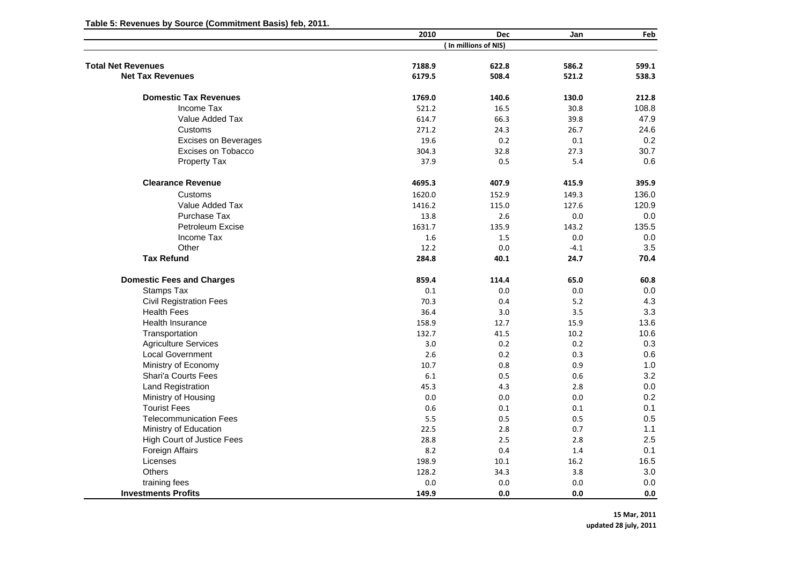**Table 5: Revenues by Source (Commitment Basis) feb, 2011.**

|                                   | 2010            | Dec                  | Jan           | Feb            |
|-----------------------------------|-----------------|----------------------|---------------|----------------|
|                                   |                 | (In millions of NIS) |               |                |
| <b>Total Net Revenues</b>         | 7188.9          | 622.8                | 586.2         | 599.1          |
| <b>Net Tax Revenues</b>           | 6179.5          | 508.4                | 521.2         | 538.3          |
| <b>Domestic Tax Revenues</b>      |                 |                      |               |                |
| Income Tax                        | 1769.0<br>521.2 | 140.6<br>16.5        | 130.0<br>30.8 | 212.8<br>108.8 |
| Value Added Tax                   |                 | 66.3                 |               | 47.9           |
|                                   | 614.7           |                      | 39.8          |                |
| Customs                           | 271.2           | 24.3                 | 26.7          | 24.6           |
| <b>Excises on Beverages</b>       | 19.6            | 0.2                  | 0.1           | 0.2            |
| Excises on Tobacco                | 304.3           | 32.8                 | 27.3          | 30.7           |
| <b>Property Tax</b>               | 37.9            | 0.5                  | 5.4           | 0.6            |
| <b>Clearance Revenue</b>          | 4695.3          | 407.9                | 415.9         | 395.9          |
| Customs                           | 1620.0          | 152.9                | 149.3         | 136.0          |
| Value Added Tax                   | 1416.2          | 115.0                | 127.6         | 120.9          |
| Purchase Tax                      | 13.8            | 2.6                  | 0.0           | 0.0            |
| Petroleum Excise                  | 1631.7          | 135.9                | 143.2         | 135.5          |
| Income Tax                        | 1.6             | 1.5                  | 0.0           | 0.0            |
| Other                             | 12.2            | 0.0                  | $-4.1$        | 3.5            |
| <b>Tax Refund</b>                 | 284.8           | 40.1                 | 24.7          | 70.4           |
| <b>Domestic Fees and Charges</b>  | 859.4           | 114.4                | 65.0          | 60.8           |
| Stamps Tax                        | 0.1             | 0.0                  | 0.0           | 0.0            |
| <b>Civil Registration Fees</b>    | 70.3            | 0.4                  | 5.2           | 4.3            |
| <b>Health Fees</b>                | 36.4            | 3.0                  | 3.5           | 3.3            |
| <b>Health Insurance</b>           | 158.9           | 12.7                 | 15.9          | 13.6           |
| Transportation                    | 132.7           | 41.5                 | 10.2          | 10.6           |
| <b>Agriculture Services</b>       | 3.0             | 0.2                  | 0.2           | 0.3            |
| <b>Local Government</b>           | 2.6             | 0.2                  | 0.3           | 0.6            |
| Ministry of Economy               | 10.7            | 0.8                  | 0.9           | 1.0            |
| Shari'a Courts Fees               | 6.1             | 0.5                  | 0.6           | 3.2            |
| Land Registration                 | 45.3            | 4.3                  | 2.8           | 0.0            |
| Ministry of Housing               | 0.0             | 0.0                  | 0.0           | 0.2            |
| <b>Tourist Fees</b>               | 0.6             | 0.1                  | 0.1           | 0.1            |
| <b>Telecommunication Fees</b>     | 5.5             | 0.5                  | 0.5           | 0.5            |
| Ministry of Education             | 22.5            | 2.8                  | 0.7           | 1.1            |
| <b>High Court of Justice Fees</b> | 28.8            | 2.5                  | 2.8           | 2.5            |
| Foreign Affairs                   | 8.2             | 0.4                  | 1.4           | 0.1            |
| Licenses                          | 198.9           | 10.1                 | 16.2          | 16.5           |
| <b>Others</b>                     | 128.2           | 34.3                 | 3.8           | 3.0            |
| training fees                     | 0.0             | 0.0                  | 0.0           | 0.0            |
| <b>Investments Profits</b>        | 149.9           | 0.0                  | 0.0           | 0.0            |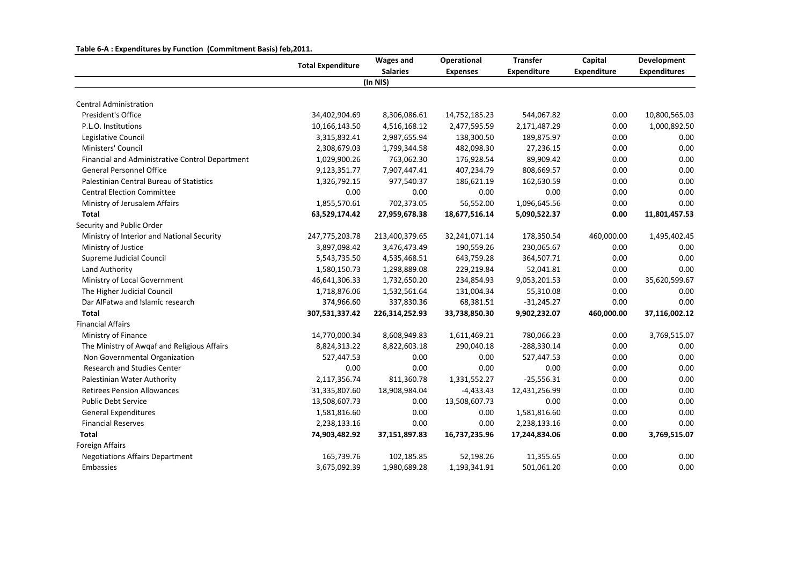|                                                 | <b>Total Expenditure</b> | <b>Wages and</b> | Operational     | <b>Transfer</b>    | Capital            | <b>Development</b>  |
|-------------------------------------------------|--------------------------|------------------|-----------------|--------------------|--------------------|---------------------|
|                                                 |                          | <b>Salaries</b>  | <b>Expenses</b> | <b>Expenditure</b> | <b>Expenditure</b> | <b>Expenditures</b> |
|                                                 |                          | (In NIS)         |                 |                    |                    |                     |
| <b>Central Administration</b>                   |                          |                  |                 |                    |                    |                     |
| President's Office                              | 34,402,904.69            | 8,306,086.61     | 14,752,185.23   | 544,067.82         | 0.00               | 10,800,565.03       |
| P.L.O. Institutions                             | 10,166,143.50            | 4,516,168.12     | 2,477,595.59    | 2,171,487.29       | 0.00               | 1,000,892.50        |
| Legislative Council                             | 3,315,832.41             | 2,987,655.94     | 138,300.50      | 189,875.97         | 0.00               | 0.00                |
| Ministers' Council                              | 2,308,679.03             | 1,799,344.58     | 482,098.30      | 27,236.15          | 0.00               | 0.00                |
| Financial and Administrative Control Department | 1,029,900.26             | 763,062.30       | 176,928.54      | 89,909.42          | 0.00               | 0.00                |
| <b>General Personnel Office</b>                 | 9,123,351.77             | 7,907,447.41     | 407,234.79      | 808,669.57         | 0.00               | 0.00                |
| Palestinian Central Bureau of Statistics        | 1,326,792.15             | 977,540.37       | 186,621.19      | 162,630.59         | 0.00               | 0.00                |
| <b>Central Election Committee</b>               | 0.00                     | 0.00             | 0.00            | 0.00               | 0.00               | 0.00                |
| Ministry of Jerusalem Affairs                   | 1,855,570.61             | 702,373.05       | 56,552.00       | 1,096,645.56       | 0.00               | 0.00                |
| <b>Total</b>                                    | 63,529,174.42            | 27,959,678.38    | 18,677,516.14   | 5,090,522.37       | 0.00               | 11,801,457.53       |
| Security and Public Order                       |                          |                  |                 |                    |                    |                     |
| Ministry of Interior and National Security      | 247,775,203.78           | 213,400,379.65   | 32,241,071.14   | 178,350.54         | 460,000.00         | 1,495,402.45        |
| Ministry of Justice                             | 3,897,098.42             | 3,476,473.49     | 190,559.26      | 230,065.67         | 0.00               | 0.00                |
| Supreme Judicial Council                        | 5,543,735.50             | 4,535,468.51     | 643,759.28      | 364,507.71         | 0.00               | 0.00                |
| Land Authority                                  | 1,580,150.73             | 1,298,889.08     | 229,219.84      | 52,041.81          | 0.00               | 0.00                |
| Ministry of Local Government                    | 46,641,306.33            | 1,732,650.20     | 234,854.93      | 9,053,201.53       | 0.00               | 35,620,599.67       |
| The Higher Judicial Council                     | 1,718,876.06             | 1,532,561.64     | 131,004.34      | 55,310.08          | 0.00               | 0.00                |
| Dar AlFatwa and Islamic research                | 374,966.60               | 337,830.36       | 68,381.51       | $-31,245.27$       | 0.00               | 0.00                |
| <b>Total</b>                                    | 307,531,337.42           | 226,314,252.93   | 33,738,850.30   | 9,902,232.07       | 460,000.00         | 37,116,002.12       |
| <b>Financial Affairs</b>                        |                          |                  |                 |                    |                    |                     |
| Ministry of Finance                             | 14,770,000.34            | 8,608,949.83     | 1,611,469.21    | 780,066.23         | 0.00               | 3,769,515.07        |
| The Ministry of Awqaf and Religious Affairs     | 8,824,313.22             | 8,822,603.18     | 290,040.18      | $-288,330.14$      | 0.00               | 0.00                |
| Non Governmental Organization                   | 527,447.53               | 0.00             | 0.00            | 527,447.53         | 0.00               | 0.00                |
| <b>Research and Studies Center</b>              | 0.00                     | 0.00             | 0.00            | 0.00               | 0.00               | 0.00                |
| Palestinian Water Authority                     | 2,117,356.74             | 811,360.78       | 1,331,552.27    | $-25,556.31$       | 0.00               | 0.00                |
| <b>Retirees Pension Allowances</b>              | 31,335,807.60            | 18,908,984.04    | $-4,433.43$     | 12,431,256.99      | 0.00               | 0.00                |
| <b>Public Debt Service</b>                      | 13,508,607.73            | 0.00             | 13,508,607.73   | 0.00               | 0.00               | 0.00                |
| <b>General Expenditures</b>                     | 1,581,816.60             | 0.00             | 0.00            | 1,581,816.60       | 0.00               | 0.00                |
| <b>Financial Reserves</b>                       | 2,238,133.16             | 0.00             | 0.00            | 2,238,133.16       | 0.00               | 0.00                |
| <b>Total</b>                                    | 74,903,482.92            | 37,151,897.83    | 16,737,235.96   | 17,244,834.06      | 0.00               | 3,769,515.07        |
| <b>Foreign Affairs</b>                          |                          |                  |                 |                    |                    |                     |
| <b>Negotiations Affairs Department</b>          | 165,739.76               | 102,185.85       | 52,198.26       | 11,355.65          | 0.00               | 0.00                |
| Embassies                                       | 3,675,092.39             | 1,980,689.28     | 1,193,341.91    | 501,061.20         | 0.00               | 0.00                |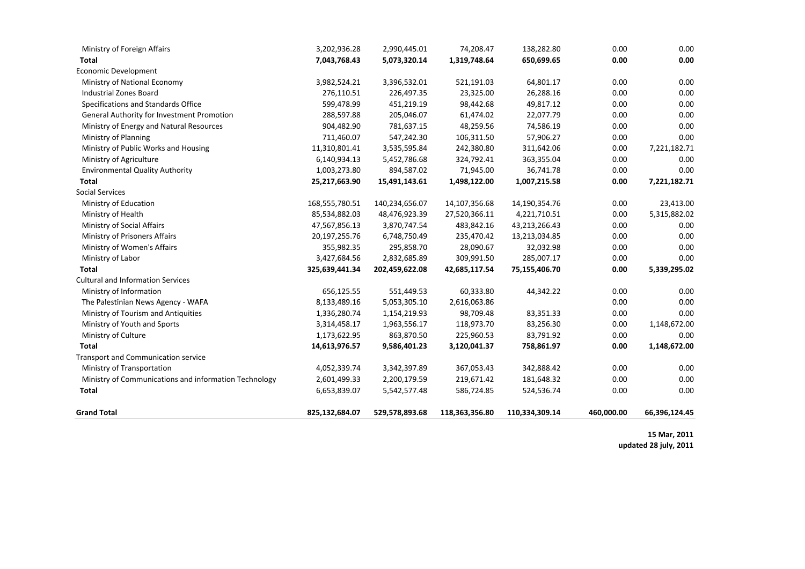| Ministry of Foreign Affairs                           | 3,202,936.28   | 2,990,445.01   | 74,208.47      | 138,282.80     | 0.00       | 0.00          |
|-------------------------------------------------------|----------------|----------------|----------------|----------------|------------|---------------|
| <b>Total</b>                                          | 7,043,768.43   | 5,073,320.14   | 1,319,748.64   | 650,699.65     | 0.00       | 0.00          |
| <b>Economic Development</b>                           |                |                |                |                |            |               |
| Ministry of National Economy                          | 3,982,524.21   | 3,396,532.01   | 521,191.03     | 64,801.17      | 0.00       | 0.00          |
| Industrial Zones Board                                | 276,110.51     | 226,497.35     | 23,325.00      | 26,288.16      | 0.00       | 0.00          |
| Specifications and Standards Office                   | 599,478.99     | 451,219.19     | 98,442.68      | 49,817.12      | 0.00       | 0.00          |
| General Authority for Investment Promotion            | 288,597.88     | 205,046.07     | 61,474.02      | 22,077.79      | 0.00       | 0.00          |
| Ministry of Energy and Natural Resources              | 904,482.90     | 781,637.15     | 48,259.56      | 74,586.19      | 0.00       | 0.00          |
| Ministry of Planning                                  | 711,460.07     | 547,242.30     | 106,311.50     | 57,906.27      | 0.00       | 0.00          |
| Ministry of Public Works and Housing                  | 11,310,801.41  | 3,535,595.84   | 242,380.80     | 311,642.06     | 0.00       | 7,221,182.71  |
| Ministry of Agriculture                               | 6,140,934.13   | 5,452,786.68   | 324,792.41     | 363,355.04     | 0.00       | 0.00          |
| <b>Environmental Quality Authority</b>                | 1,003,273.80   | 894,587.02     | 71,945.00      | 36,741.78      | 0.00       | 0.00          |
| <b>Total</b>                                          | 25,217,663.90  | 15,491,143.61  | 1,498,122.00   | 1,007,215.58   | 0.00       | 7,221,182.71  |
| <b>Social Services</b>                                |                |                |                |                |            |               |
| Ministry of Education                                 | 168,555,780.51 | 140,234,656.07 | 14,107,356.68  | 14,190,354.76  | 0.00       | 23,413.00     |
| Ministry of Health                                    | 85,534,882.03  | 48,476,923.39  | 27,520,366.11  | 4,221,710.51   | 0.00       | 5,315,882.02  |
| Ministry of Social Affairs                            | 47,567,856.13  | 3,870,747.54   | 483,842.16     | 43,213,266.43  | 0.00       | 0.00          |
| Ministry of Prisoners Affairs                         | 20,197,255.76  | 6,748,750.49   | 235,470.42     | 13,213,034.85  | 0.00       | 0.00          |
| Ministry of Women's Affairs                           | 355,982.35     | 295,858.70     | 28,090.67      | 32,032.98      | 0.00       | 0.00          |
| Ministry of Labor                                     | 3,427,684.56   | 2,832,685.89   | 309,991.50     | 285,007.17     | 0.00       | 0.00          |
| <b>Total</b>                                          | 325,639,441.34 | 202,459,622.08 | 42,685,117.54  | 75,155,406.70  | 0.00       | 5,339,295.02  |
| <b>Cultural and Information Services</b>              |                |                |                |                |            |               |
| Ministry of Information                               | 656,125.55     | 551,449.53     | 60,333.80      | 44,342.22      | 0.00       | 0.00          |
| The Palestinian News Agency - WAFA                    | 8,133,489.16   | 5,053,305.10   | 2,616,063.86   |                | 0.00       | 0.00          |
| Ministry of Tourism and Antiquities                   | 1,336,280.74   | 1,154,219.93   | 98,709.48      | 83,351.33      | 0.00       | 0.00          |
| Ministry of Youth and Sports                          | 3,314,458.17   | 1,963,556.17   | 118,973.70     | 83,256.30      | 0.00       | 1,148,672.00  |
| Ministry of Culture                                   | 1,173,622.95   | 863,870.50     | 225,960.53     | 83,791.92      | 0.00       | 0.00          |
| <b>Total</b>                                          | 14,613,976.57  | 9,586,401.23   | 3,120,041.37   | 758,861.97     | 0.00       | 1,148,672.00  |
| Transport and Communication service                   |                |                |                |                |            |               |
| Ministry of Transportation                            | 4,052,339.74   | 3,342,397.89   | 367,053.43     | 342,888.42     | 0.00       | 0.00          |
| Ministry of Communications and information Technology | 2,601,499.33   | 2,200,179.59   | 219,671.42     | 181,648.32     | 0.00       | 0.00          |
| <b>Total</b>                                          | 6,653,839.07   | 5,542,577.48   | 586,724.85     | 524,536.74     | 0.00       | 0.00          |
| <b>Grand Total</b>                                    | 825,132,684.07 | 529,578,893.68 | 118,363,356.80 | 110,334,309.14 | 460,000.00 | 66,396,124.45 |

**15 Mar, 2011**

**updated 28 july, 2011**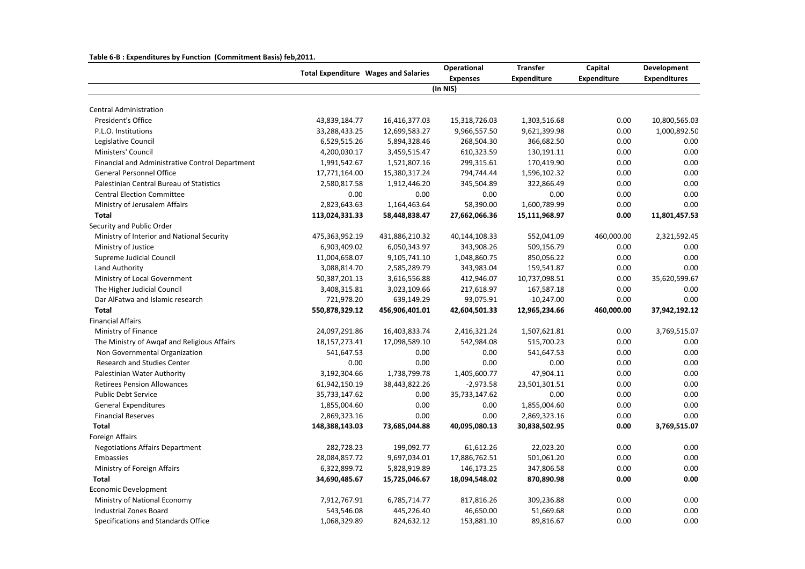|  | Table 6-B : Expenditures by Function (Commitment Basis) feb, 2011. |  |  |  |
|--|--------------------------------------------------------------------|--|--|--|
|--|--------------------------------------------------------------------|--|--|--|

|                                                 | <b>Total Expenditure Wages and Salaries</b> |                | Operational     | <b>Transfer</b>    | Capital            | Development         |
|-------------------------------------------------|---------------------------------------------|----------------|-----------------|--------------------|--------------------|---------------------|
|                                                 |                                             |                | <b>Expenses</b> | <b>Expenditure</b> | <b>Expenditure</b> | <b>Expenditures</b> |
|                                                 |                                             |                | (In NIS)        |                    |                    |                     |
| <b>Central Administration</b>                   |                                             |                |                 |                    |                    |                     |
| President's Office                              | 43,839,184.77                               | 16,416,377.03  | 15,318,726.03   | 1,303,516.68       | 0.00               | 10,800,565.03       |
| P.L.O. Institutions                             | 33,288,433.25                               | 12,699,583.27  | 9,966,557.50    | 9,621,399.98       | 0.00               | 1,000,892.50        |
| Legislative Council                             | 6,529,515.26                                | 5,894,328.46   | 268,504.30      | 366,682.50         | 0.00               | 0.00                |
| Ministers' Council                              | 4,200,030.17                                | 3,459,515.47   | 610,323.59      | 130,191.11         | 0.00               | 0.00                |
| Financial and Administrative Control Department | 1,991,542.67                                | 1,521,807.16   | 299,315.61      | 170,419.90         | 0.00               | 0.00                |
| <b>General Personnel Office</b>                 | 17,771,164.00                               | 15,380,317.24  | 794,744.44      | 1,596,102.32       | 0.00               | 0.00                |
| Palestinian Central Bureau of Statistics        | 2,580,817.58                                | 1,912,446.20   | 345,504.89      | 322,866.49         | 0.00               | 0.00                |
| <b>Central Election Committee</b>               | 0.00                                        | 0.00           | 0.00            | 0.00               | 0.00               | 0.00                |
| Ministry of Jerusalem Affairs                   | 2,823,643.63                                | 1,164,463.64   | 58,390.00       | 1,600,789.99       | 0.00               | 0.00                |
| <b>Total</b>                                    | 113,024,331.33                              | 58,448,838.47  | 27,662,066.36   | 15,111,968.97      | 0.00               | 11,801,457.53       |
| Security and Public Order                       |                                             |                |                 |                    |                    |                     |
| Ministry of Interior and National Security      | 475,363,952.19                              | 431,886,210.32 | 40,144,108.33   | 552,041.09         | 460,000.00         | 2,321,592.45        |
| Ministry of Justice                             | 6,903,409.02                                | 6,050,343.97   | 343,908.26      | 509,156.79         | 0.00               | 0.00                |
| Supreme Judicial Council                        | 11,004,658.07                               | 9,105,741.10   | 1,048,860.75    | 850,056.22         | 0.00               | 0.00                |
| Land Authority                                  | 3,088,814.70                                | 2,585,289.79   | 343,983.04      | 159,541.87         | 0.00               | 0.00                |
| Ministry of Local Government                    | 50,387,201.13                               | 3,616,556.88   | 412,946.07      | 10,737,098.51      | 0.00               | 35,620,599.67       |
| The Higher Judicial Council                     | 3,408,315.81                                | 3,023,109.66   | 217,618.97      | 167,587.18         | 0.00               | 0.00                |
| Dar AlFatwa and Islamic research                | 721,978.20                                  | 639,149.29     | 93,075.91       | $-10,247.00$       | 0.00               | 0.00                |
| <b>Total</b>                                    | 550,878,329.12                              | 456,906,401.01 | 42,604,501.33   | 12,965,234.66      | 460,000.00         | 37,942,192.12       |
| <b>Financial Affairs</b>                        |                                             |                |                 |                    |                    |                     |
| Ministry of Finance                             | 24,097,291.86                               | 16,403,833.74  | 2,416,321.24    | 1,507,621.81       | 0.00               | 3,769,515.07        |
| The Ministry of Awgaf and Religious Affairs     | 18, 157, 273. 41                            | 17,098,589.10  | 542,984.08      | 515,700.23         | 0.00               | 0.00                |
| Non Governmental Organization                   | 541,647.53                                  | 0.00           | 0.00            | 541,647.53         | 0.00               | 0.00                |
| Research and Studies Center                     | 0.00                                        | 0.00           | 0.00            | 0.00               | 0.00               | 0.00                |
| Palestinian Water Authority                     | 3,192,304.66                                | 1,738,799.78   | 1,405,600.77    | 47,904.11          | 0.00               | 0.00                |
| <b>Retirees Pension Allowances</b>              | 61,942,150.19                               | 38,443,822.26  | $-2,973.58$     | 23,501,301.51      | 0.00               | 0.00                |
| <b>Public Debt Service</b>                      | 35,733,147.62                               | 0.00           | 35,733,147.62   | 0.00               | 0.00               | 0.00                |
| <b>General Expenditures</b>                     | 1,855,004.60                                | 0.00           | 0.00            | 1,855,004.60       | 0.00               | 0.00                |
| <b>Financial Reserves</b>                       | 2,869,323.16                                | 0.00           | 0.00            | 2,869,323.16       | 0.00               | 0.00                |
| <b>Total</b>                                    | 148,388,143.03                              | 73,685,044.88  | 40,095,080.13   | 30,838,502.95      | 0.00               | 3,769,515.07        |
| Foreign Affairs                                 |                                             |                |                 |                    |                    |                     |
| <b>Negotiations Affairs Department</b>          | 282,728.23                                  | 199,092.77     | 61,612.26       | 22,023.20          | 0.00               | 0.00                |
| Embassies                                       | 28,084,857.72                               | 9,697,034.01   | 17,886,762.51   | 501,061.20         | 0.00               | 0.00                |
| Ministry of Foreign Affairs                     | 6,322,899.72                                | 5,828,919.89   | 146,173.25      | 347,806.58         | 0.00               | 0.00                |
| <b>Total</b>                                    | 34,690,485.67                               | 15,725,046.67  | 18,094,548.02   | 870,890.98         | 0.00               | 0.00                |
| <b>Economic Development</b>                     |                                             |                |                 |                    |                    |                     |
| Ministry of National Economy                    | 7,912,767.91                                | 6,785,714.77   | 817,816.26      | 309,236.88         | 0.00               | 0.00                |
| <b>Industrial Zones Board</b>                   | 543,546.08                                  | 445,226.40     | 46,650.00       | 51,669.68          | 0.00               | 0.00                |
| Specifications and Standards Office             | 1,068,329.89                                | 824,632.12     | 153,881.10      | 89,816.67          | 0.00               | 0.00                |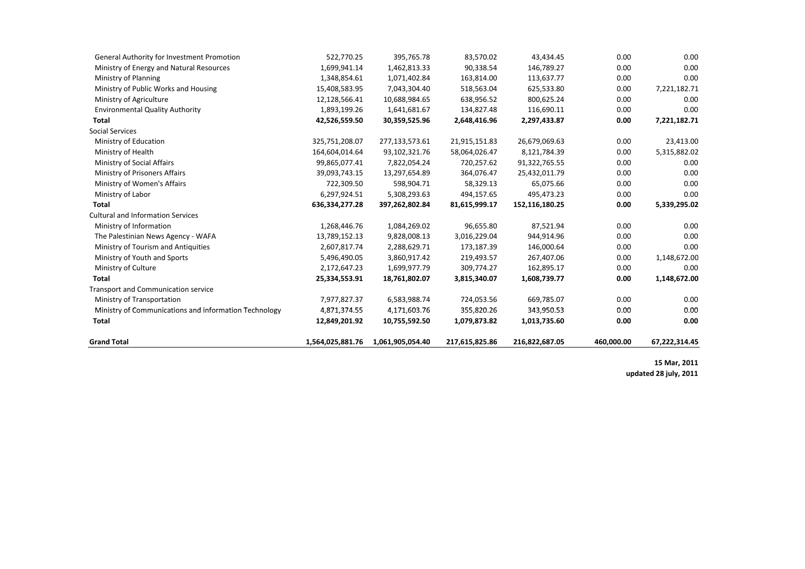| <b>Grand Total</b>                                    | 1,564,025,881.76 | 1,061,905,054.40 | 217,615,825.86 | 216,822,687.05 | 460,000.00 | 67,222,314.45 |
|-------------------------------------------------------|------------------|------------------|----------------|----------------|------------|---------------|
|                                                       |                  |                  |                |                |            |               |
| Total                                                 | 12,849,201.92    | 10,755,592.50    | 1,079,873.82   | 1,013,735.60   | 0.00       | 0.00          |
| Ministry of Communications and information Technology | 4,871,374.55     | 4,171,603.76     | 355,820.26     | 343,950.53     | 0.00       | 0.00          |
| Ministry of Transportation                            | 7,977,827.37     | 6,583,988.74     | 724,053.56     | 669,785.07     | 0.00       | 0.00          |
| <b>Transport and Communication service</b>            |                  |                  |                |                |            |               |
| <b>Total</b>                                          | 25,334,553.91    | 18,761,802.07    | 3,815,340.07   | 1,608,739.77   | 0.00       | 1,148,672.00  |
| Ministry of Culture                                   | 2,172,647.23     | 1,699,977.79     | 309,774.27     | 162,895.17     | 0.00       | 0.00          |
| Ministry of Youth and Sports                          | 5,496,490.05     | 3,860,917.42     | 219,493.57     | 267,407.06     | 0.00       | 1,148,672.00  |
| Ministry of Tourism and Antiquities                   | 2,607,817.74     | 2,288,629.71     | 173,187.39     | 146,000.64     | 0.00       | 0.00          |
| The Palestinian News Agency - WAFA                    | 13,789,152.13    | 9,828,008.13     | 3,016,229.04   | 944,914.96     | 0.00       | 0.00          |
| Ministry of Information                               | 1,268,446.76     | 1,084,269.02     | 96,655.80      | 87,521.94      | 0.00       | 0.00          |
| <b>Cultural and Information Services</b>              |                  |                  |                |                |            |               |
| <b>Total</b>                                          | 636,334,277.28   | 397,262,802.84   | 81,615,999.17  | 152,116,180.25 | 0.00       | 5,339,295.02  |
| Ministry of Labor                                     | 6,297,924.51     | 5,308,293.63     | 494,157.65     | 495,473.23     | 0.00       | 0.00          |
| Ministry of Women's Affairs                           | 722,309.50       | 598,904.71       | 58,329.13      | 65,075.66      | 0.00       | 0.00          |
| Ministry of Prisoners Affairs                         | 39,093,743.15    | 13,297,654.89    | 364,076.47     | 25,432,011.79  | 0.00       | 0.00          |
| Ministry of Social Affairs                            | 99,865,077.41    | 7,822,054.24     | 720,257.62     | 91,322,765.55  | 0.00       | 0.00          |
| Ministry of Health                                    | 164,604,014.64   | 93,102,321.76    | 58,064,026.47  | 8,121,784.39   | 0.00       | 5,315,882.02  |
| Ministry of Education                                 | 325,751,208.07   | 277,133,573.61   | 21,915,151.83  | 26,679,069.63  | 0.00       | 23,413.00     |
| <b>Social Services</b>                                |                  |                  |                |                |            |               |
| Total                                                 | 42,526,559.50    | 30,359,525.96    | 2,648,416.96   | 2,297,433.87   | 0.00       | 7,221,182.71  |
| <b>Environmental Quality Authority</b>                | 1,893,199.26     | 1,641,681.67     | 134,827.48     | 116,690.11     | 0.00       | 0.00          |
| Ministry of Agriculture                               | 12,128,566.41    | 10,688,984.65    | 638,956.52     | 800,625.24     | 0.00       | 0.00          |
| Ministry of Public Works and Housing                  | 15,408,583.95    | 7,043,304.40     | 518,563.04     | 625,533.80     | 0.00       | 7,221,182.71  |
| Ministry of Planning                                  | 1,348,854.61     | 1,071,402.84     | 163,814.00     | 113,637.77     | 0.00       | 0.00          |
| Ministry of Energy and Natural Resources              | 1,699,941.14     | 1,462,813.33     | 90,338.54      | 146,789.27     | 0.00       | 0.00          |
| General Authority for Investment Promotion            | 522,770.25       | 395,765.78       | 83,570.02      | 43,434.45      | 0.00       | 0.00          |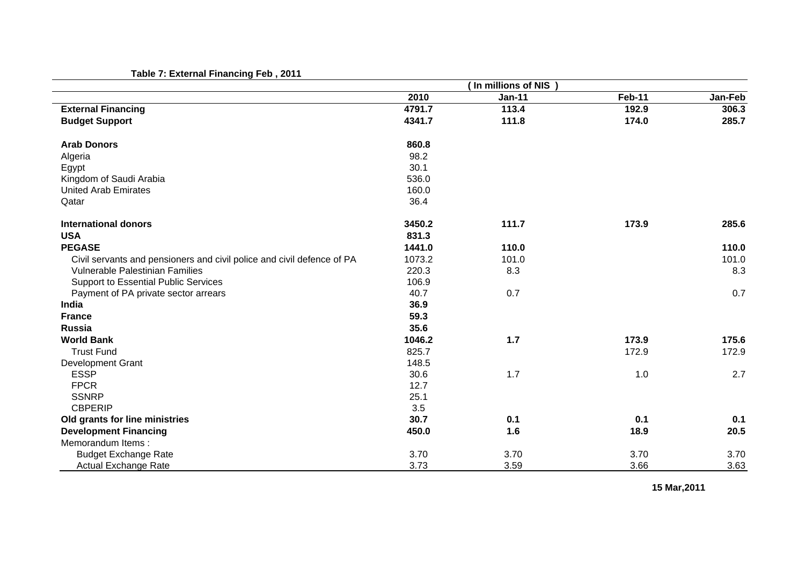## **Table 7: External Financing Feb , 2011**

| , apic 7. Externar Finanonig + cp , 2011                               |        | (In millions of NIS) |        |         |
|------------------------------------------------------------------------|--------|----------------------|--------|---------|
|                                                                        | 2010   | <b>Jan-11</b>        | Feb-11 | Jan-Feb |
| <b>External Financing</b>                                              | 4791.7 | 113.4                | 192.9  | 306.3   |
| <b>Budget Support</b>                                                  | 4341.7 | 111.8                | 174.0  | 285.7   |
| <b>Arab Donors</b>                                                     | 860.8  |                      |        |         |
| Algeria                                                                | 98.2   |                      |        |         |
| Egypt                                                                  | 30.1   |                      |        |         |
| Kingdom of Saudi Arabia                                                | 536.0  |                      |        |         |
| <b>United Arab Emirates</b>                                            | 160.0  |                      |        |         |
| Qatar                                                                  | 36.4   |                      |        |         |
| <b>International donors</b>                                            | 3450.2 | 111.7                | 173.9  | 285.6   |
| <b>USA</b>                                                             | 831.3  |                      |        |         |
| <b>PEGASE</b>                                                          | 1441.0 | 110.0                |        | 110.0   |
| Civil servants and pensioners and civil police and civil defence of PA | 1073.2 | 101.0                |        | 101.0   |
| Vulnerable Palestinian Families                                        | 220.3  | 8.3                  |        | 8.3     |
| Support to Essential Public Services                                   | 106.9  |                      |        |         |
| Payment of PA private sector arrears                                   | 40.7   | 0.7                  |        | 0.7     |
| India                                                                  | 36.9   |                      |        |         |
| <b>France</b>                                                          | 59.3   |                      |        |         |
| <b>Russia</b>                                                          | 35.6   |                      |        |         |
| <b>World Bank</b>                                                      | 1046.2 | 1.7                  | 173.9  | 175.6   |
| <b>Trust Fund</b>                                                      | 825.7  |                      | 172.9  | 172.9   |
| <b>Development Grant</b>                                               | 148.5  |                      |        |         |
| <b>ESSP</b>                                                            | 30.6   | 1.7                  | 1.0    | 2.7     |
| <b>FPCR</b>                                                            | 12.7   |                      |        |         |
| <b>SSNRP</b>                                                           | 25.1   |                      |        |         |
| <b>CBPERIP</b>                                                         | 3.5    |                      |        |         |
| Old grants for line ministries                                         | 30.7   | 0.1                  | 0.1    | 0.1     |
| <b>Development Financing</b>                                           | 450.0  | 1.6                  | 18.9   | 20.5    |
| Memorandum Items:                                                      |        |                      |        |         |
| <b>Budget Exchange Rate</b>                                            | 3.70   | 3.70                 | 3.70   | 3.70    |
| <b>Actual Exchange Rate</b>                                            | 3.73   | 3.59                 | 3.66   | 3.63    |

**15 Mar,2011**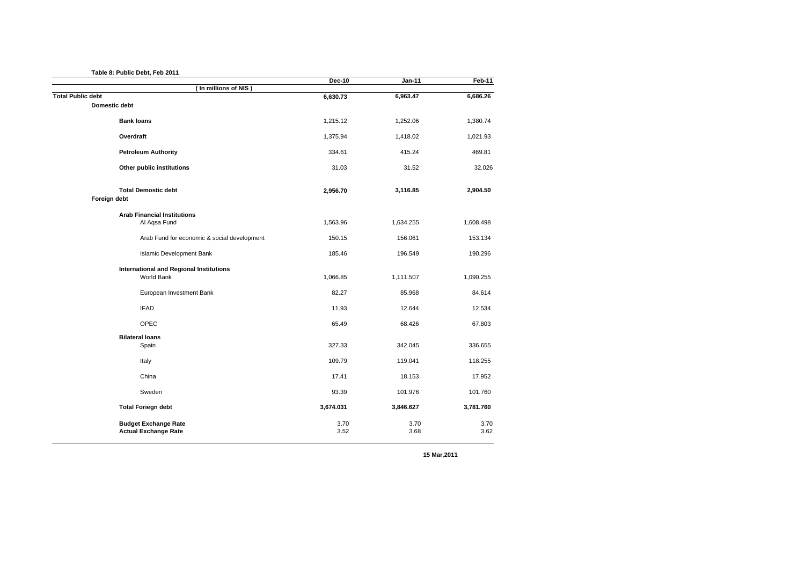**Table 8: Public Debt, Feb 2011**

|                                                | <b>Dec-10</b> | $Jan-11$  | Feb-11    |
|------------------------------------------------|---------------|-----------|-----------|
| In millions of NIS)                            |               |           |           |
| <b>Total Public debt</b>                       | 6,630.73      | 6,963.47  | 6,686.26  |
| Domestic debt                                  |               |           |           |
| <b>Bank loans</b>                              | 1,215.12      | 1,252.06  | 1,380.74  |
| Overdraft                                      | 1,375.94      | 1,418.02  | 1,021.93  |
| <b>Petroleum Authority</b>                     | 334.61        | 415.24    | 469.81    |
| Other public institutions                      | 31.03         | 31.52     | 32.026    |
| <b>Total Demostic debt</b>                     | 2,956.70      | 3,116.85  | 2,904.50  |
| Foreign debt                                   |               |           |           |
| <b>Arab Financial Institutions</b>             |               |           |           |
| Al Aqsa Fund                                   | 1,563.96      | 1,634.255 | 1,608.498 |
| Arab Fund for economic & social development    | 150.15        | 156.061   | 153.134   |
| Islamic Development Bank                       | 185.46        | 196.549   | 190.296   |
| <b>International and Regional Institutions</b> |               |           |           |
| World Bank                                     | 1,066.85      | 1,111.507 | 1,090.255 |
| European Investment Bank                       | 82.27         | 85.968    | 84.614    |
| <b>IFAD</b>                                    | 11.93         | 12.644    | 12.534    |
| OPEC                                           | 65.49         | 68.426    | 67.803    |
| <b>Bilateral loans</b>                         |               |           |           |
| Spain                                          | 327.33        | 342.045   | 336.655   |
| Italy                                          | 109.79        | 119.041   | 118.255   |
| China                                          | 17.41         | 18.153    | 17.952    |
| Sweden                                         | 93.39         | 101.976   | 101.760   |
| <b>Total Foriegn debt</b>                      | 3,674.031     | 3,846.627 | 3,781.760 |
| <b>Budget Exchange Rate</b>                    | 3.70          | 3.70      | 3.70      |
| <b>Actual Exchange Rate</b>                    | 3.52          | 3.68      | 3.62      |

**15 Mar,2011**